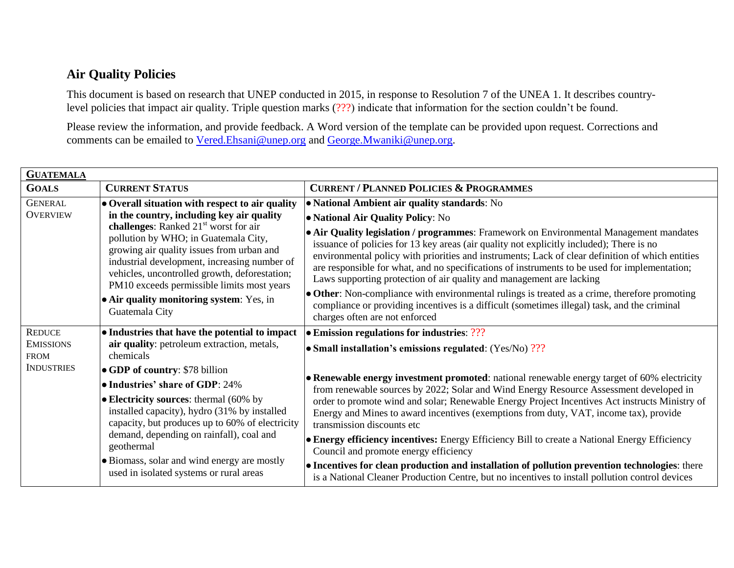## **Air Quality Policies**

This document is based on research that UNEP conducted in 2015, in response to Resolution 7 of the UNEA 1. It describes countrylevel policies that impact air quality. Triple question marks (???) indicate that information for the section couldn't be found.

Please review the information, and provide feedback. A Word version of the template can be provided upon request. Corrections and comments can be emailed to [Vered.Ehsani@unep.org](mailto:Vered.Ehsani@unep.org) and [George.Mwaniki@unep.org.](mailto:George.Mwaniki@unep.org)

| <b>GUATEMALA</b>                                                      |                                                                                                                                                                                                                                                                                                                                    |                                                                                                                                                                                                                                                                                                                                                                                                                                                                                                                                                                                                       |  |
|-----------------------------------------------------------------------|------------------------------------------------------------------------------------------------------------------------------------------------------------------------------------------------------------------------------------------------------------------------------------------------------------------------------------|-------------------------------------------------------------------------------------------------------------------------------------------------------------------------------------------------------------------------------------------------------------------------------------------------------------------------------------------------------------------------------------------------------------------------------------------------------------------------------------------------------------------------------------------------------------------------------------------------------|--|
| <b>GOALS</b>                                                          | <b>CURRENT STATUS</b>                                                                                                                                                                                                                                                                                                              | <b>CURRENT / PLANNED POLICIES &amp; PROGRAMMES</b>                                                                                                                                                                                                                                                                                                                                                                                                                                                                                                                                                    |  |
| <b>GENERAL</b>                                                        | • Overall situation with respect to air quality                                                                                                                                                                                                                                                                                    | • National Ambient air quality standards: No                                                                                                                                                                                                                                                                                                                                                                                                                                                                                                                                                          |  |
| <b>OVERVIEW</b>                                                       | in the country, including key air quality<br>challenges: Ranked 21 <sup>st</sup> worst for air<br>pollution by WHO; in Guatemala City,<br>growing air quality issues from urban and<br>industrial development, increasing number of<br>vehicles, uncontrolled growth, deforestation;<br>PM10 exceeds permissible limits most years | • National Air Quality Policy: No<br>• Air Quality legislation / programmes: Framework on Environmental Management mandates<br>issuance of policies for 13 key areas (air quality not explicitly included); There is no<br>environmental policy with priorities and instruments; Lack of clear definition of which entities<br>are responsible for what, and no specifications of instruments to be used for implementation;<br>Laws supporting protection of air quality and management are lacking<br>• Other: Non-compliance with environmental rulings is treated as a crime, therefore promoting |  |
|                                                                       | • Air quality monitoring system: Yes, in<br>Guatemala City                                                                                                                                                                                                                                                                         | compliance or providing incentives is a difficult (sometimes illegal) task, and the criminal<br>charges often are not enforced                                                                                                                                                                                                                                                                                                                                                                                                                                                                        |  |
| <b>REDUCE</b><br><b>EMISSIONS</b><br><b>FROM</b><br><b>INDUSTRIES</b> | • Industries that have the potential to impact<br>air quality: petroleum extraction, metals,<br>chemicals                                                                                                                                                                                                                          | • Emission regulations for industries: ???                                                                                                                                                                                                                                                                                                                                                                                                                                                                                                                                                            |  |
|                                                                       |                                                                                                                                                                                                                                                                                                                                    | • Small installation's emissions regulated: $(Yes/No)$ ???                                                                                                                                                                                                                                                                                                                                                                                                                                                                                                                                            |  |
|                                                                       | $\bullet$ GDP of country: \$78 billion                                                                                                                                                                                                                                                                                             | • Renewable energy investment promoted: national renewable energy target of 60% electricity<br>from renewable sources by 2022; Solar and Wind Energy Resource Assessment developed in                                                                                                                                                                                                                                                                                                                                                                                                                 |  |
|                                                                       | • Industries' share of GDP: 24%                                                                                                                                                                                                                                                                                                    |                                                                                                                                                                                                                                                                                                                                                                                                                                                                                                                                                                                                       |  |
|                                                                       | $\bullet$ Electricity sources: thermal (60% by<br>installed capacity), hydro (31% by installed<br>capacity, but produces up to 60% of electricity<br>demand, depending on rainfall), coal and<br>geothermal                                                                                                                        | order to promote wind and solar; Renewable Energy Project Incentives Act instructs Ministry of<br>Energy and Mines to award incentives (exemptions from duty, VAT, income tax), provide<br>transmission discounts etc                                                                                                                                                                                                                                                                                                                                                                                 |  |
|                                                                       |                                                                                                                                                                                                                                                                                                                                    | • Energy efficiency incentives: Energy Efficiency Bill to create a National Energy Efficiency<br>Council and promote energy efficiency                                                                                                                                                                                                                                                                                                                                                                                                                                                                |  |
|                                                                       | • Biomass, solar and wind energy are mostly<br>used in isolated systems or rural areas                                                                                                                                                                                                                                             | • Incentives for clean production and installation of pollution prevention technologies: there<br>is a National Cleaner Production Centre, but no incentives to install pollution control devices                                                                                                                                                                                                                                                                                                                                                                                                     |  |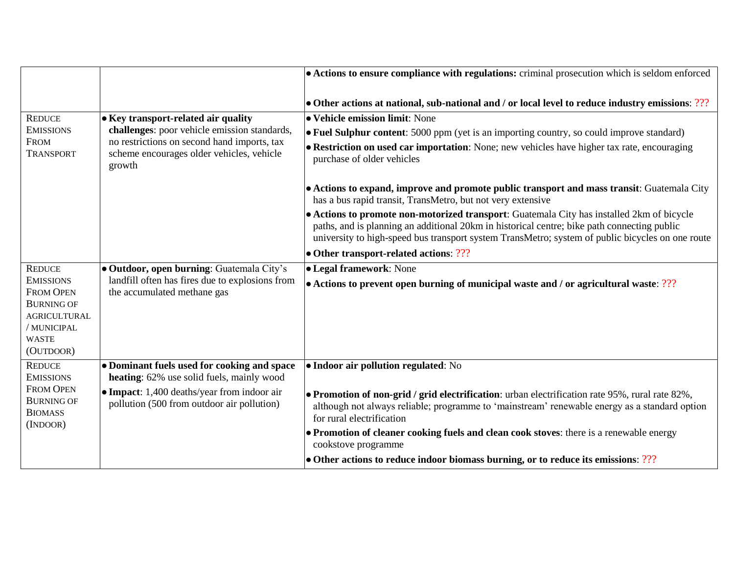|                                                                      |                                                                                                                                                                                                   | • Actions to ensure compliance with regulations: criminal prosecution which is seldom enforced                                                                                                                                                                                               |
|----------------------------------------------------------------------|---------------------------------------------------------------------------------------------------------------------------------------------------------------------------------------------------|----------------------------------------------------------------------------------------------------------------------------------------------------------------------------------------------------------------------------------------------------------------------------------------------|
|                                                                      |                                                                                                                                                                                                   | • Other actions at national, sub-national and / or local level to reduce industry emissions: ???                                                                                                                                                                                             |
| <b>REDUCE</b><br><b>EMISSIONS</b><br><b>FROM</b><br><b>TRANSPORT</b> | $\bullet$ Key transport-related air quality<br>challenges: poor vehicle emission standards,<br>no restrictions on second hand imports, tax<br>scheme encourages older vehicles, vehicle<br>growth | • Vehicle emission limit: None                                                                                                                                                                                                                                                               |
|                                                                      |                                                                                                                                                                                                   | • Fuel Sulphur content: 5000 ppm (yet is an importing country, so could improve standard)                                                                                                                                                                                                    |
|                                                                      |                                                                                                                                                                                                   | • Restriction on used car importation: None; new vehicles have higher tax rate, encouraging<br>purchase of older vehicles                                                                                                                                                                    |
|                                                                      |                                                                                                                                                                                                   | • Actions to expand, improve and promote public transport and mass transit: Guatemala City<br>has a bus rapid transit, TransMetro, but not very extensive                                                                                                                                    |
|                                                                      |                                                                                                                                                                                                   | • Actions to promote non-motorized transport: Guatemala City has installed 2km of bicycle<br>paths, and is planning an additional 20km in historical centre; bike path connecting public<br>university to high-speed bus transport system TransMetro; system of public bicycles on one route |
|                                                                      |                                                                                                                                                                                                   | • Other transport-related actions: ???                                                                                                                                                                                                                                                       |
| <b>REDUCE</b>                                                        | <b>. Outdoor, open burning:</b> Guatemala City's                                                                                                                                                  | • Legal framework: None                                                                                                                                                                                                                                                                      |
| <b>EMISSIONS</b>                                                     | landfill often has fires due to explosions from                                                                                                                                                   | • Actions to prevent open burning of municipal waste and / or agricultural waste: ???                                                                                                                                                                                                        |
| <b>FROM OPEN</b><br><b>BURNING OF</b>                                | the accumulated methane gas                                                                                                                                                                       |                                                                                                                                                                                                                                                                                              |
| <b>AGRICULTURAL</b>                                                  |                                                                                                                                                                                                   |                                                                                                                                                                                                                                                                                              |
| / MUNICIPAL                                                          |                                                                                                                                                                                                   |                                                                                                                                                                                                                                                                                              |
| <b>WASTE</b>                                                         |                                                                                                                                                                                                   |                                                                                                                                                                                                                                                                                              |
| (OUTDOOR)                                                            |                                                                                                                                                                                                   |                                                                                                                                                                                                                                                                                              |
| <b>REDUCE</b><br><b>EMISSIONS</b>                                    | • Dominant fuels used for cooking and space<br>heating: 62% use solid fuels, mainly wood                                                                                                          | · Indoor air pollution regulated: No                                                                                                                                                                                                                                                         |
| <b>FROM OPEN</b><br><b>BURNING OF</b><br><b>BIOMASS</b><br>(INDOOR)  | • Impact: 1,400 deaths/year from indoor air<br>pollution (500 from outdoor air pollution)                                                                                                         | • Promotion of non-grid / grid electrification: urban electrification rate 95%, rural rate 82%,<br>although not always reliable; programme to 'mainstream' renewable energy as a standard option<br>for rural electrification                                                                |
|                                                                      |                                                                                                                                                                                                   | • Promotion of cleaner cooking fuels and clean cook stoves: there is a renewable energy<br>cookstove programme                                                                                                                                                                               |
|                                                                      |                                                                                                                                                                                                   | • Other actions to reduce indoor biomass burning, or to reduce its emissions: ???                                                                                                                                                                                                            |